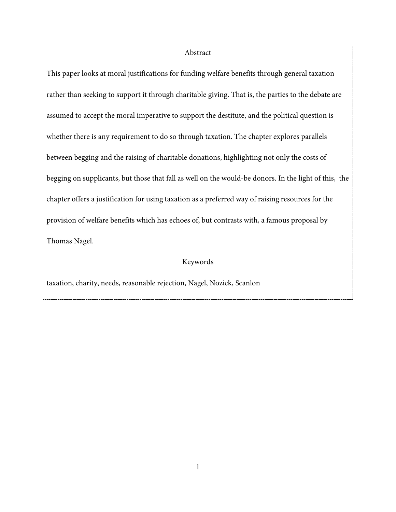#### Abstract

This paper looks at moral justifications for funding welfare benefits through general taxation rather than seeking to support it through charitable giving. That is, the parties to the debate are assumed to accept the moral imperative to support the destitute, and the political question is whether there is any requirement to do so through taxation. The chapter explores parallels between begging and the raising of charitable donations, highlighting not only the costs of begging on supplicants, but those that fall as well on the would-be donors. In the light of this, the chapter offers a justification for using taxation as a preferred way of raising resources for the provision of welfare benefits which has echoes of, but contrasts with, a famous proposal by Thomas Nagel.

#### Keywords

taxation, charity, needs, reasonable rejection, Nagel, Nozick, Scanlon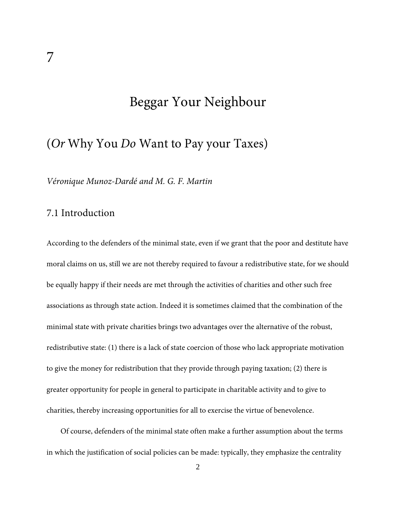# Beggar Your Neighbour

## (*Or* Why You *Do* Want to Pay your Taxes)

*Véronique Munoz-Dardé and M. G. F. Martin*

### 7.1 Introduction

According to the defenders of the minimal state, even if we grant that the poor and destitute have moral claims on us, still we are not thereby required to favour a redistributive state, for we should be equally happy if their needs are met through the activities of charities and other such free associations as through state action. Indeed it is sometimes claimed that the combination of the minimal state with private charities brings two advantages over the alternative of the robust, redistributive state: (1) there is a lack of state coercion of those who lack appropriate motivation to give the money for redistribution that they provide through paying taxation; (2) there is greater opportunity for people in general to participate in charitable activity and to give to charities, thereby increasing opportunities for all to exercise the virtue of benevolence.

Of course, defenders of the minimal state often make a further assumption about the terms in which the justification of social policies can be made: typically, they emphasize the centrality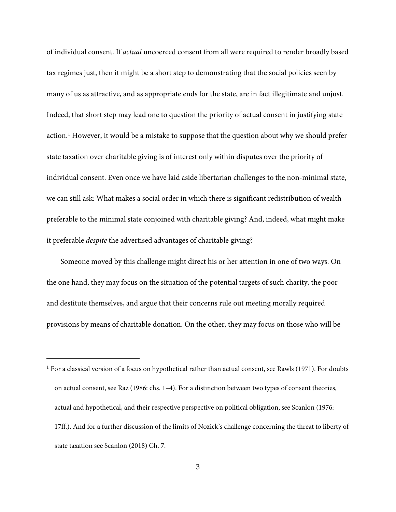of individual consent. If *actual* uncoerced consent from all were required to render broadly based tax regimes just, then it might be a short step to demonstrating that the social policies seen by many of us as attractive, and as appropriate ends for the state, are in fact illegitimate and unjust. Indeed, that short step may lead one to question the priority of actual consent in justifying state action.<sup>[1](#page-2-0)</sup> However, it would be a mistake to suppose that the question about why we should prefer state taxation over charitable giving is of interest only within disputes over the priority of individual consent. Even once we have laid aside libertarian challenges to the non-minimal state, we can still ask: What makes a social order in which there is significant redistribution of wealth preferable to the minimal state conjoined with charitable giving? And, indeed, what might make it preferable *despite* the advertised advantages of charitable giving?

Someone moved by this challenge might direct his or her attention in one of two ways. On the one hand, they may focus on the situation of the potential targets of such charity, the poor and destitute themselves, and argue that their concerns rule out meeting morally required provisions by means of charitable donation. On the other, they may focus on those who will be

 $\overline{a}$ 

<span id="page-2-0"></span> $1$  For a classical version of a focus on hypothetical rather than actual consent, see Rawls (1971). For doubts on actual consent, see Raz (1986: chs. 1–4). For a distinction between two types of consent theories, actual and hypothetical, and their respective perspective on political obligation, see Scanlon (1976: 17ff.). And for a further discussion of the limits of Nozick's challenge concerning the threat to liberty of state taxation see Scanlon (2018) Ch. 7.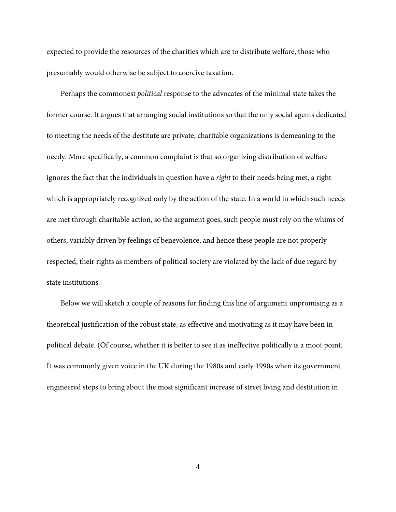expected to provide the resources of the charities which are to distribute welfare, those who presumably would otherwise be subject to coercive taxation.

Perhaps the commonest *political* response to the advocates of the minimal state takes the former course. It argues that arranging social institutions so that the only social agents dedicated to meeting the needs of the destitute are private, charitable organizations is demeaning to the needy. More specifically, a common complaint is that so organizing distribution of welfare ignores the fact that the individuals in question have a *right* to their needs being met, a right which is appropriately recognized only by the action of the state. In a world in which such needs are met through charitable action, so the argument goes, such people must rely on the whims of others, variably driven by feelings of benevolence, and hence these people are not properly respected, their rights as members of political society are violated by the lack of due regard by state institutions.

<span id="page-3-0"></span>Below we will sketch a couple of reasons for finding this line of argument unpromising as a theoretical justification of the robust state, as effective and motivating as it may have been in political debate. (Of course, whether it is better to see it as ineffective politically is a moot point. It was commonly given voice in the UK during the 1980s and early 1990s when its government engineered steps to bring about the most significant increase of street living and destitution in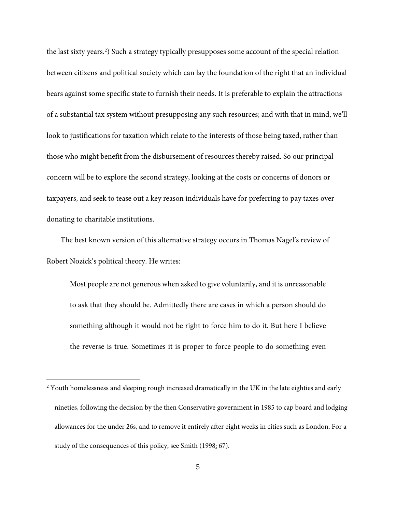the last sixty years. [2](#page-3-0) ) Such a strategy typically presupposes some account of the special relation between citizens and political society which can lay the foundation of the right that an individual bears against some specific state to furnish their needs. It is preferable to explain the attractions of a substantial tax system without presupposing any such resources; and with that in mind, we'll look to justifications for taxation which relate to the interests of those being taxed, rather than those who might benefit from the disbursement of resources thereby raised. So our principal concern will be to explore the second strategy, looking at the costs or concerns of donors or taxpayers, and seek to tease out a key reason individuals have for preferring to pay taxes over donating to charitable institutions.

The best known version of this alternative strategy occurs in Thomas Nagel's review of Robert Nozick's political theory. He writes:

Most people are not generous when asked to give voluntarily, and it is unreasonable to ask that they should be. Admittedly there are cases in which a person should do something although it would not be right to force him to do it. But here I believe the reverse is true. Sometimes it is proper to force people to do something even

<span id="page-4-1"></span><span id="page-4-0"></span> $2$  Youth homelessness and sleeping rough increased dramatically in the UK in the late eighties and early nineties, following the decision by the then Conservative government in 1985 to cap board and lodging allowances for the under 26s, and to remove it entirely after eight weeks in cities such as London. For a study of the consequences of this policy, see Smith [\(1998:](#page-39-0) 67).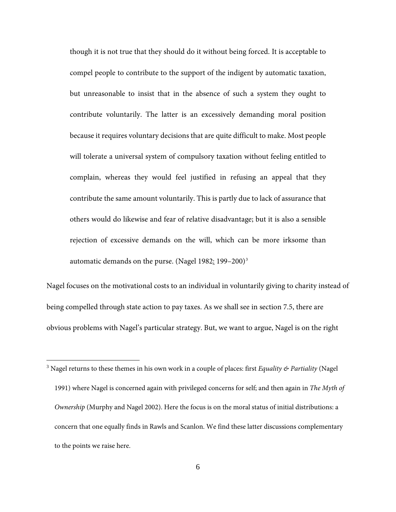though it is not true that they should do it without being forced. It is acceptable to compel people to contribute to the support of the indigent by automatic taxation, but unreasonable to insist that in the absence of such a system they ought to contribute voluntarily. The latter is an excessively demanding moral position because it requires voluntary decisions that are quite difficult to make. Most people will tolerate a universal system of compulsory taxation without feeling entitled to complain, whereas they would feel justified in refusing an appeal that they contribute the same amount voluntarily. This is partly due to lack of assurance that others would do likewise and fear of relative disadvantage; but it is also a sensible rejection of excessive demands on the will, which can be more irksome than automatic demands on the purse. (Nagel 1982: 199–200)<sup>[3](#page-4-0)</sup>

Nagel focuses on the motivational costs to an individual in voluntarily giving to charity instead of being compelled through state action to pay taxes. As we shall see in section 7.5, there are obvious problems with Nagel's particular strategy. But, we want to argue, Nagel is on the right

 <sup>3</sup> Nagel returns to these themes in his own work in a couple of places: first *Equality & Partiality* (Nagel [1991\)](#page-39-1) where Nagel is concerned again with privileged concerns for self; and then again in *The Myth of Ownership* (Murphy and Nagel [2002\)](#page-39-2). Here the focus is on the moral status of initial distributions: a concern that one equally finds in Rawls and Scanlon. We find these latter discussions complementary to the points we raise here.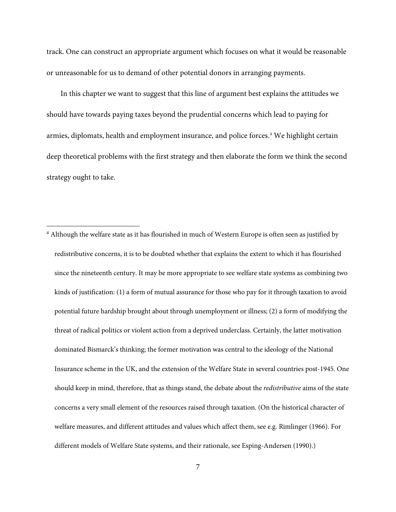track. One can construct an appropriate argument which focuses on what it would be reasonable or unreasonable for us to demand of other potential donors in arranging payments.

In this chapter we want to suggest that this line of argument best explains the attitudes we should have towards paying taxes beyond the prudential concerns which lead to paying for armies, diplomats, health and employment insurance, and police forces.<sup>[4](#page-4-1)</sup> We highlight certain deep theoretical problems with the first strategy and then elaborate the form we think the second strategy ought to take.

<sup>&</sup>lt;sup>4</sup> Although the welfare state as it has flourished in much of Western Europe is often seen as justified by redistributive concerns, it is to be doubted whether that explains the extent to which it has flourished since the nineteenth century. It may be more appropriate to see welfare state systems as combining two kinds of justification: (1) a form of mutual assurance for those who pay for it through taxation to avoid potential future hardship brought about through unemployment or illness; (2) a form of modifying the threat of radical politics or violent action from a deprived underclass. Certainly, the latter motivation dominated Bismarck's thinking; the former motivation was central to the ideology of the National Insurance scheme in the UK, and the extension of the Welfare State in several countries post-1945. One should keep in mind, therefore, that as things stand, the debate about the *redistributive* aims of the state concerns a very small element of the resources raised through taxation. (On the historical character of welfare measures, and different attitudes and values which affect them, see e.g. Rimlinger (1966). For different models of Welfare State systems, and their rationale, see Esping-Andersen [\(1990\)](#page-39-3).)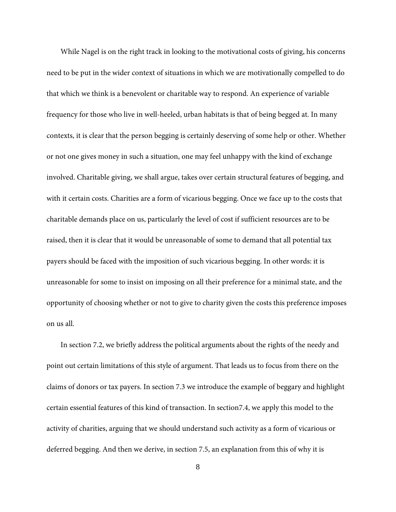While Nagel is on the right track in looking to the motivational costs of giving, his concerns need to be put in the wider context of situations in which we are motivationally compelled to do that which we think is a benevolent or charitable way to respond. An experience of variable frequency for those who live in well-heeled, urban habitats is that of being begged at. In many contexts, it is clear that the person begging is certainly deserving of some help or other. Whether or not one gives money in such a situation, one may feel unhappy with the kind of exchange involved. Charitable giving, we shall argue, takes over certain structural features of begging, and with it certain costs. Charities are a form of vicarious begging. Once we face up to the costs that charitable demands place on us, particularly the level of cost if sufficient resources are to be raised, then it is clear that it would be unreasonable of some to demand that all potential tax payers should be faced with the imposition of such vicarious begging. In other words: it is unreasonable for some to insist on imposing on all their preference for a minimal state, and the opportunity of choosing whether or not to give to charity given the costs this preference imposes on us all.

In section 7.2, we briefly address the political arguments about the rights of the needy and point out certain limitations of this style of argument. That leads us to focus from there on the claims of donors or tax payers. In section 7.3 we introduce the example of beggary and highlight certain essential features of this kind of transaction. In section7.4, we apply this model to the activity of charities, arguing that we should understand such activity as a form of vicarious or deferred begging. And then we derive, in section 7.5, an explanation from this of why it is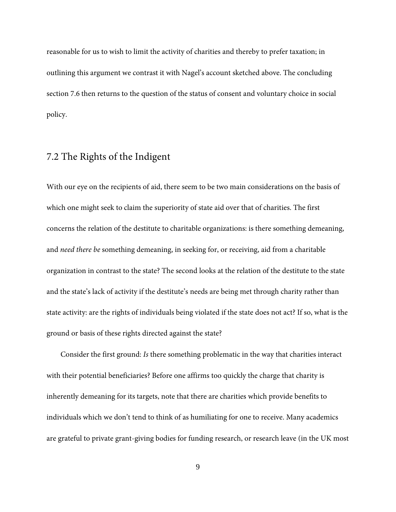reasonable for us to wish to limit the activity of charities and thereby to prefer taxation; in outlining this argument we contrast it with Nagel's account sketched above. The concluding section 7.6 then returns to the question of the status of consent and voluntary choice in social policy.

### 7.2 The Rights of the Indigent

With our eye on the recipients of aid, there seem to be two main considerations on the basis of which one might seek to claim the superiority of state aid over that of charities. The first concerns the relation of the destitute to charitable organizations: is there something demeaning, and *need there be* something demeaning, in seeking for, or receiving, aid from a charitable organization in contrast to the state? The second looks at the relation of the destitute to the state and the state's lack of activity if the destitute's needs are being met through charity rather than state activity: are the rights of individuals being violated if the state does not act? If so, what is the ground or basis of these rights directed against the state?

<span id="page-8-0"></span>Consider the first ground: *Is* there something problematic in the way that charities interact with their potential beneficiaries? Before one affirms too quickly the charge that charity is inherently demeaning for its targets, note that there are charities which provide benefits to individuals which we don't tend to think of as humiliating for one to receive. Many academics are grateful to private grant-giving bodies for funding research, or research leave (in the UK most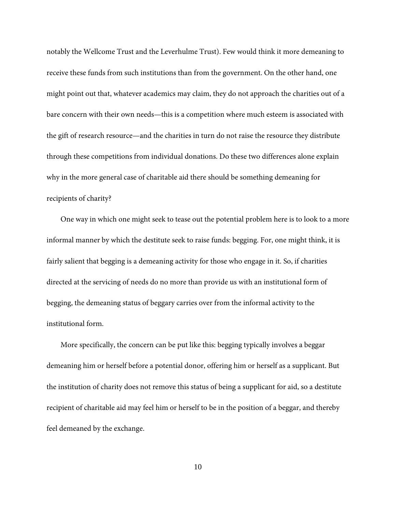notably the Wellcome Trust and the Leverhulme Trust). Few would think it more demeaning to receive these funds from such institutions than from the government. On the other hand, one might point out that, whatever academics may claim, they do not approach the charities out of a bare concern with their own needs—this is a competition where much esteem is associated with the gift of research resource—and the charities in turn do not raise the resource they distribute through these competitions from individual donations. Do these two differences alone explain why in the more general case of charitable aid there should be something demeaning for recipients of charity?

One way in which one might seek to tease out the potential problem here is to look to a more informal manner by which the destitute seek to raise funds: begging. For, one might think, it is fairly salient that begging is a demeaning activity for those who engage in it. So, if charities directed at the servicing of needs do no more than provide us with an institutional form of begging, the demeaning status of beggary carries over from the informal activity to the institutional form.

<span id="page-9-0"></span>More specifically, the concern can be put like this: begging typically involves a beggar demeaning him or herself before a potential donor, offering him or herself as a supplicant. But the institution of charity does not remove this status of being a supplicant for aid, so a destitute recipient of charitable aid may feel him or herself to be in the position of a beggar, and thereby feel demeaned by the exchange.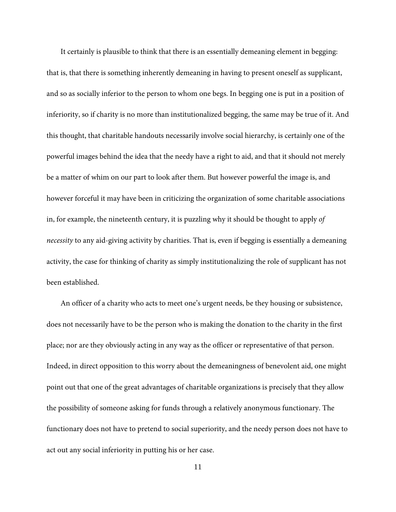It certainly is plausible to think that there is an essentially demeaning element in begging: that is, that there is something inherently demeaning in having to present oneself as supplicant, and so as socially inferior to the person to whom one begs. In begging one is put in a position of inferiority, so if charity is no more than institutionalized begging, the same may be true of it. And this thought, that charitable handouts necessarily involve social hierarchy, is certainly one of the powerful images behind the idea that the needy have a right to aid, and that it should not merely be a matter of whim on our part to look after them. But however powerful the image is, and however forceful it may have been in criticizing the organization of some charitable associations in, for example, the nineteenth century, it is puzzling why it should be thought to apply *of necessity* to any aid-giving activity by charities. That is, even if begging is essentially a demeaning activity, the case for thinking of charity as simply institutionalizing the role of supplicant has not been established.

An officer of a charity who acts to meet one's urgent needs, be they housing or subsistence, does not necessarily have to be the person who is making the donation to the charity in the first place; nor are they obviously acting in any way as the officer or representative of that person. Indeed, in direct opposition to this worry about the demeaningness of benevolent aid, one might point out that one of the great advantages of charitable organizations is precisely that they allow the possibility of someone asking for funds through a relatively anonymous functionary. The functionary does not have to pretend to social superiority, and the needy person does not have to act out any social inferiority in putting his or her case.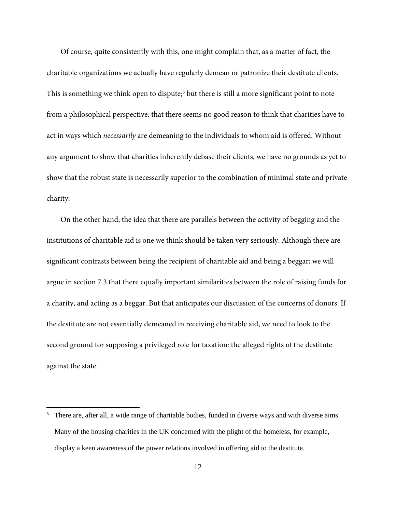Of course, quite consistently with this, one might complain that, as a matter of fact, the charitable organizations we actually have regularly demean or patronize their destitute clients. This is something we think open to dispute;<sup>[5](#page-8-0)</sup> but there is still a more significant point to note from a philosophical perspective: that there seems no good reason to think that charities have to act in ways which *necessarily* are demeaning to the individuals to whom aid is offered. Without any argument to show that charities inherently debase their clients, we have no grounds as yet to show that the robust state is necessarily superior to the combination of minimal state and private charity.

On the other hand, the idea that there are parallels between the activity of begging and the institutions of charitable aid is one we think should be taken very seriously. Although there are significant contrasts between being the recipient of charitable aid and being a beggar; we will argue in section 7.3 that there equally important similarities between the role of raising funds for a charity, and acting as a beggar. But that anticipates our discussion of the concerns of donors. If the destitute are not essentially demeaned in receiving charitable aid, we need to look to the second ground for supposing a privileged role for taxation: the alleged rights of the destitute against the state.

<span id="page-11-0"></span> <sup>5</sup> There are, after all, a wide range of charitable bodies, funded in diverse ways and with diverse aims. Many of the housing charities in the UK concerned with the plight of the homeless, for example, display a keen awareness of the power relations involved in offering aid to the destitute.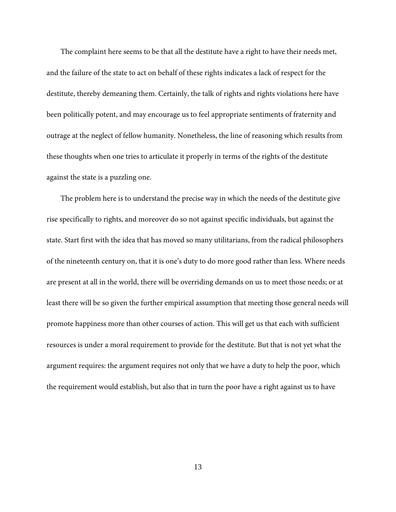The complaint here seems to be that all the destitute have a right to have their needs met, and the failure of the state to act on behalf of these rights indicates a lack of respect for the destitute, thereby demeaning them. Certainly, the talk of rights and rights violations here have been politically potent, and may encourage us to feel appropriate sentiments of fraternity and outrage at the neglect of fellow humanity. Nonetheless, the line of reasoning which results from these thoughts when one tries to articulate it properly in terms of the rights of the destitute against the state is a puzzling one.

The problem here is to understand the precise way in which the needs of the destitute give rise specifically to rights, and moreover do so not against specific individuals, but against the state. Start first with the idea that has moved so many utilitarians, from the radical philosophers of the nineteenth century on, that it is one's duty to do more good rather than less. Where needs are present at all in the world, there will be overriding demands on us to meet those needs; or at least there will be so given the further empirical assumption that meeting those general needs will promote happiness more than other courses of action. This will get us that each with sufficient resources is under a moral requirement to provide for the destitute. But that is not yet what the argument requires: the argument requires not only that we have a duty to help the poor, which the requirement would establish, but also that in turn the poor have a right against us to have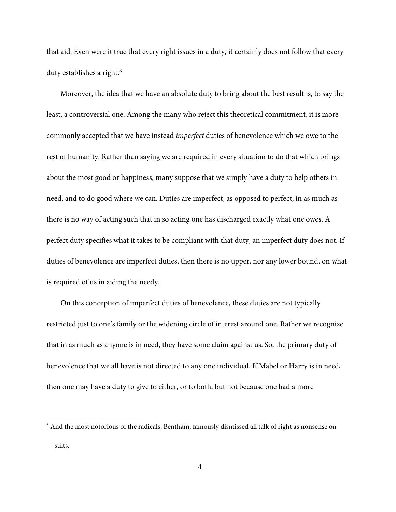that aid. Even were it true that every right issues in a duty, it certainly does not follow that every duty establishes a right.<sup>[6](#page-9-0)</sup>

Moreover, the idea that we have an absolute duty to bring about the best result is, to say the least, a controversial one. Among the many who reject this theoretical commitment, it is more commonly accepted that we have instead *imperfect* duties of benevolence which we owe to the rest of humanity. Rather than saying we are required in every situation to do that which brings about the most good or happiness, many suppose that we simply have a duty to help others in need, and to do good where we can. Duties are imperfect, as opposed to perfect, in as much as there is no way of acting such that in so acting one has discharged exactly what one owes. A perfect duty specifies what it takes to be compliant with that duty, an imperfect duty does not. If duties of benevolence are imperfect duties, then there is no upper, nor any lower bound, on what is required of us in aiding the needy.

On this conception of imperfect duties of benevolence, these duties are not typically restricted just to one's family or the widening circle of interest around one. Rather we recognize that in as much as anyone is in need, they have some claim against us. So, the primary duty of benevolence that we all have is not directed to any one individual. If Mabel or Harry is in need, then one may have a duty to give to either, or to both, but not because one had a more

 $\overline{a}$ 

<sup>6</sup> And the most notorious of the radicals, Bentham, famously dismissed all talk of right as nonsense on stilts.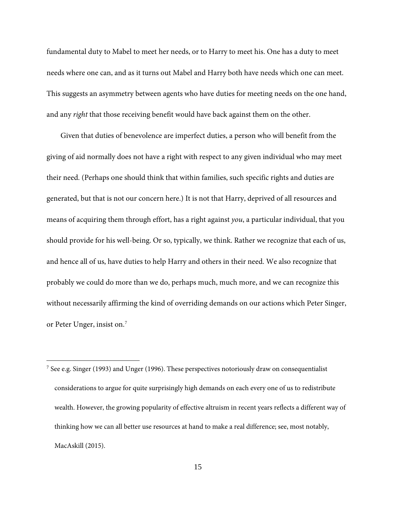fundamental duty to Mabel to meet her needs, or to Harry to meet his. One has a duty to meet needs where one can, and as it turns out Mabel and Harry both have needs which one can meet. This suggests an asymmetry between agents who have duties for meeting needs on the one hand, and any *right* that those receiving benefit would have back against them on the other.

Given that duties of benevolence are imperfect duties, a person who will benefit from the giving of aid normally does not have a right with respect to any given individual who may meet their need. (Perhaps one should think that within families, such specific rights and duties are generated, but that is not our concern here.) It is not that Harry, deprived of all resources and means of acquiring them through effort, has a right against *you*, a particular individual, that you should provide for his well-being. Or so, typically, we think. Rather we recognize that each of us, and hence all of us, have duties to help Harry and others in their need. We also recognize that probably we could do more than we do, perhaps much, much more, and we can recognize this without necessarily affirming the kind of overriding demands on our actions which Peter Singer, or Peter Unger, insist on.[7](#page-11-0)

 $^7$  See e.g. Singer [\(1993\)](#page-39-4) and Unger [\(1996\)](#page-39-5). These perspectives notoriously draw on consequentialist considerations to argue for quite surprisingly high demands on each every one of us to redistribute wealth. However, the growing popularity of effective altruism in recent years reflects a different way of thinking how we can all better use resources at hand to make a real difference; see, most notably, MacAskill [\(2015\)](#page-39-6).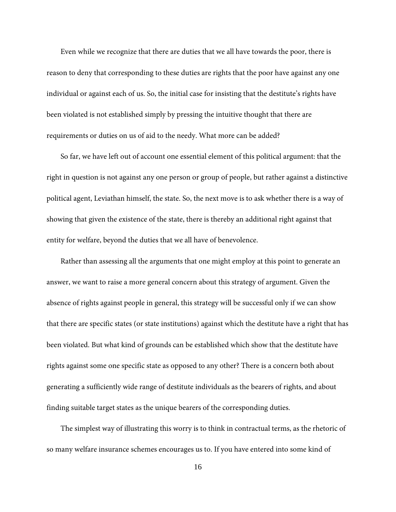Even while we recognize that there are duties that we all have towards the poor, there is reason to deny that corresponding to these duties are rights that the poor have against any one individual or against each of us. So, the initial case for insisting that the destitute's rights have been violated is not established simply by pressing the intuitive thought that there are requirements or duties on us of aid to the needy. What more can be added?

So far, we have left out of account one essential element of this political argument: that the right in question is not against any one person or group of people, but rather against a distinctive political agent, Leviathan himself, the state. So, the next move is to ask whether there is a way of showing that given the existence of the state, there is thereby an additional right against that entity for welfare, beyond the duties that we all have of benevolence.

Rather than assessing all the arguments that one might employ at this point to generate an answer, we want to raise a more general concern about this strategy of argument. Given the absence of rights against people in general, this strategy will be successful only if we can show that there are specific states (or state institutions) against which the destitute have a right that has been violated. But what kind of grounds can be established which show that the destitute have rights against some one specific state as opposed to any other? There is a concern both about generating a sufficiently wide range of destitute individuals as the bearers of rights, and about finding suitable target states as the unique bearers of the corresponding duties.

<span id="page-15-1"></span><span id="page-15-0"></span>The simplest way of illustrating this worry is to think in contractual terms, as the rhetoric of so many welfare insurance schemes encourages us to. If you have entered into some kind of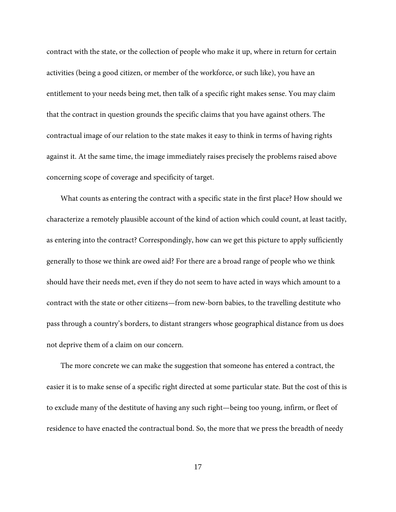contract with the state, or the collection of people who make it up, where in return for certain activities (being a good citizen, or member of the workforce, or such like), you have an entitlement to your needs being met, then talk of a specific right makes sense. You may claim that the contract in question grounds the specific claims that you have against others. The contractual image of our relation to the state makes it easy to think in terms of having rights against it. At the same time, the image immediately raises precisely the problems raised above concerning scope of coverage and specificity of target.

What counts as entering the contract with a specific state in the first place? How should we characterize a remotely plausible account of the kind of action which could count, at least tacitly, as entering into the contract? Correspondingly, how can we get this picture to apply sufficiently generally to those we think are owed aid? For there are a broad range of people who we think should have their needs met, even if they do not seem to have acted in ways which amount to a contract with the state or other citizens—from new-born babies, to the travelling destitute who pass through a country's borders, to distant strangers whose geographical distance from us does not deprive them of a claim on our concern.

The more concrete we can make the suggestion that someone has entered a contract, the easier it is to make sense of a specific right directed at some particular state. But the cost of this is to exclude many of the destitute of having any such right—being too young, infirm, or fleet of residence to have enacted the contractual bond. So, the more that we press the breadth of needy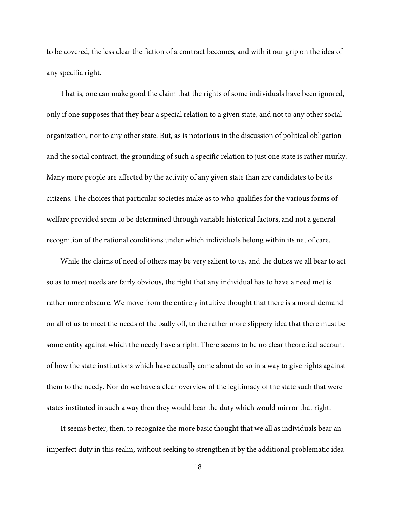to be covered, the less clear the fiction of a contract becomes, and with it our grip on the idea of any specific right.

That is, one can make good the claim that the rights of some individuals have been ignored, only if one supposes that they bear a special relation to a given state, and not to any other social organization, nor to any other state. But, as is notorious in the discussion of political obligation and the social contract, the grounding of such a specific relation to just one state is rather murky. Many more people are affected by the activity of any given state than are candidates to be its citizens. The choices that particular societies make as to who qualifies for the various forms of welfare provided seem to be determined through variable historical factors, and not a general recognition of the rational conditions under which individuals belong within its net of care.

While the claims of need of others may be very salient to us, and the duties we all bear to act so as to meet needs are fairly obvious, the right that any individual has to have a need met is rather more obscure. We move from the entirely intuitive thought that there is a moral demand on all of us to meet the needs of the badly off, to the rather more slippery idea that there must be some entity against which the needy have a right. There seems to be no clear theoretical account of how the state institutions which have actually come about do so in a way to give rights against them to the needy. Nor do we have a clear overview of the legitimacy of the state such that were states instituted in such a way then they would bear the duty which would mirror that right.

It seems better, then, to recognize the more basic thought that we all as individuals bear an imperfect duty in this realm, without seeking to strengthen it by the additional problematic idea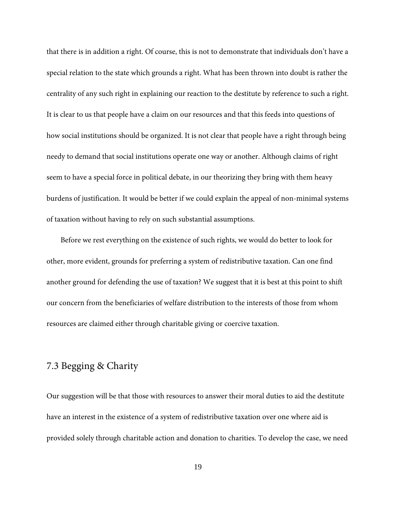that there is in addition a right. Of course, this is not to demonstrate that individuals don't have a special relation to the state which grounds a right. What has been thrown into doubt is rather the centrality of any such right in explaining our reaction to the destitute by reference to such a right. It is clear to us that people have a claim on our resources and that this feeds into questions of how social institutions should be organized. It is not clear that people have a right through being needy to demand that social institutions operate one way or another. Although claims of right seem to have a special force in political debate, in our theorizing they bring with them heavy burdens of justification. It would be better if we could explain the appeal of non-minimal systems of taxation without having to rely on such substantial assumptions.

Before we rest everything on the existence of such rights, we would do better to look for other, more evident, grounds for preferring a system of redistributive taxation. Can one find another ground for defending the use of taxation? We suggest that it is best at this point to shift our concern from the beneficiaries of welfare distribution to the interests of those from whom resources are claimed either through charitable giving or coercive taxation.

## <span id="page-18-0"></span>7.3 Begging & Charity

Our suggestion will be that those with resources to answer their moral duties to aid the destitute have an interest in the existence of a system of redistributive taxation over one where aid is provided solely through charitable action and donation to charities. To develop the case, we need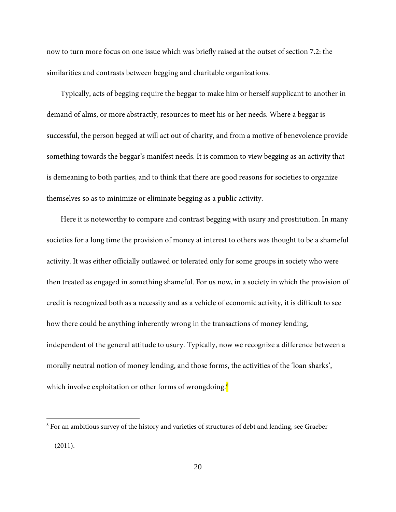now to turn more focus on one issue which was briefly raised at the outset of section 7.2: the similarities and contrasts between begging and charitable organizations.

Typically, acts of begging require the beggar to make him or herself supplicant to another in demand of alms, or more abstractly, resources to meet his or her needs. Where a beggar is successful, the person begged at will act out of charity, and from a motive of benevolence provide something towards the beggar's manifest needs. It is common to view begging as an activity that is demeaning to both parties, and to think that there are good reasons for societies to organize themselves so as to minimize or eliminate begging as a public activity.

Here it is noteworthy to compare and contrast begging with usury and prostitution. In many societies for a long time the provision of money at interest to others was thought to be a shameful activity. It was either officially outlawed or tolerated only for some groups in society who were then treated as engaged in something shameful. For us now, in a society in which the provision of credit is recognized both as a necessity and as a vehicle of economic activity, it is difficult to see how there could be anything inherently wrong in the transactions of money lending, independent of the general attitude to usury. Typically, now we recognize a difference between a morally neutral notion of money lending, and those forms, the activities of the 'loan sharks', which involve exploitation or other forms of wrongdoing.<mark>[8](#page-15-0)</mark>

 $\overline{a}$ 

<sup>&</sup>lt;sup>8</sup> For an ambitious survey of the history and varieties of structures of debt and lending, see Graeber [\(2011\)](#page-39-7).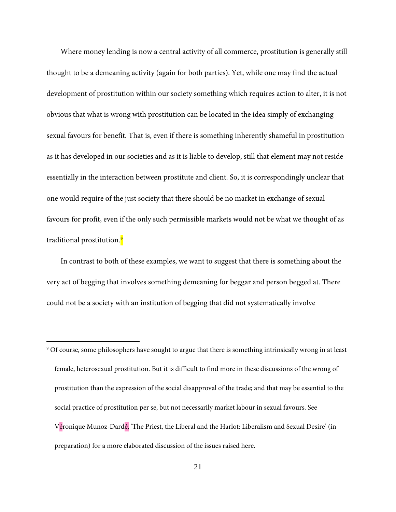Where money lending is now a central activity of all commerce, prostitution is generally still thought to be a demeaning activity (again for both parties). Yet, while one may find the actual development of prostitution within our society something which requires action to alter, it is not obvious that what is wrong with prostitution can be located in the idea simply of exchanging sexual favours for benefit. That is, even if there is something inherently shameful in prostitution as it has developed in our societies and as it is liable to develop, still that element may not reside essentially in the interaction between prostitute and client. So, it is correspondingly unclear that one would require of the just society that there should be no market in exchange of sexual favours for profit, even if the only such permissible markets would not be what we thought of as traditional prostitution.<sup>9</sup>

In contrast to both of these examples, we want to suggest that there is something about the very act of begging that involves something demeaning for beggar and person begged at. There could not be a society with an institution of begging that did not systematically involve

 $\overline{a}$ 

<sup>9</sup> Of course, some philosophers have sought to argue that there is something intrinsically wrong in at least female, heterosexual prostitution. But it is difficult to find more in these discussions of the wrong of prostitution than the expression of the social disapproval of the trade; and that may be essential to the social practice of prostitution per se, but not necessarily market labour in sexual favours. See Véronique Munoz-Dardé, 'The Priest, the Liberal and the Harlot: Liberalism and Sexual Desire' (in preparation) for a more elaborated discussion of the issues raised here.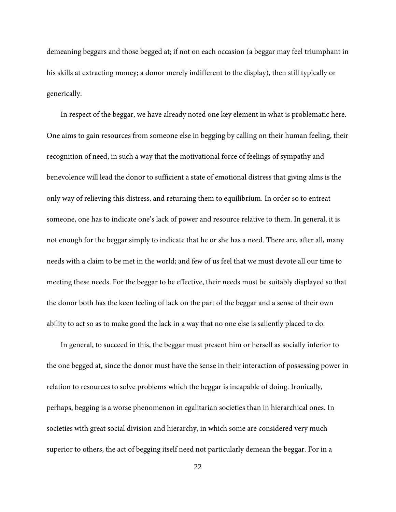demeaning beggars and those begged at; if not on each occasion (a beggar may feel triumphant in his skills at extracting money; a donor merely indifferent to the display), then still typically or generically.

In respect of the beggar, we have already noted one key element in what is problematic here. One aims to gain resources from someone else in begging by calling on their human feeling, their recognition of need, in such a way that the motivational force of feelings of sympathy and benevolence will lead the donor to sufficient a state of emotional distress that giving alms is the only way of relieving this distress, and returning them to equilibrium. In order so to entreat someone, one has to indicate one's lack of power and resource relative to them. In general, it is not enough for the beggar simply to indicate that he or she has a need. There are, after all, many needs with a claim to be met in the world; and few of us feel that we must devote all our time to meeting these needs. For the beggar to be effective, their needs must be suitably displayed so that the donor both has the keen feeling of lack on the part of the beggar and a sense of their own ability to act so as to make good the lack in a way that no one else is saliently placed to do.

In general, to succeed in this, the beggar must present him or herself as socially inferior to the one begged at, since the donor must have the sense in their interaction of possessing power in relation to resources to solve problems which the beggar is incapable of doing. Ironically, perhaps, begging is a worse phenomenon in egalitarian societies than in hierarchical ones. In societies with great social division and hierarchy, in which some are considered very much superior to others, the act of begging itself need not particularly demean the beggar. For in a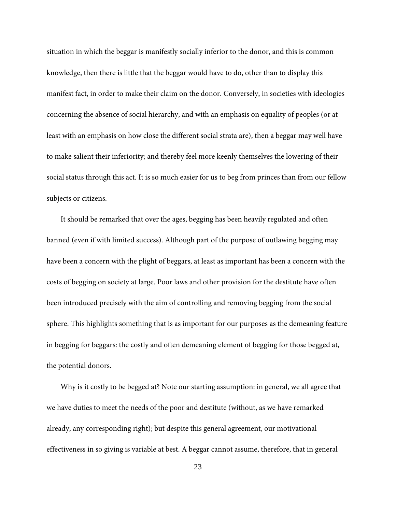situation in which the beggar is manifestly socially inferior to the donor, and this is common knowledge, then there is little that the beggar would have to do, other than to display this manifest fact, in order to make their claim on the donor. Conversely, in societies with ideologies concerning the absence of social hierarchy, and with an emphasis on equality of peoples (or at least with an emphasis on how close the different social strata are), then a beggar may well have to make salient their inferiority; and thereby feel more keenly themselves the lowering of their social status through this act. It is so much easier for us to beg from princes than from our fellow subjects or citizens.

It should be remarked that over the ages, begging has been heavily regulated and often banned (even if with limited success). Although part of the purpose of outlawing begging may have been a concern with the plight of beggars, at least as important has been a concern with the costs of begging on society at large. Poor laws and other provision for the destitute have often been introduced precisely with the aim of controlling and removing begging from the social sphere. This highlights something that is as important for our purposes as the demeaning feature in begging for beggars: the costly and often demeaning element of begging for those begged at, the potential donors.

Why is it costly to be begged at? Note our starting assumption: in general, we all agree that we have duties to meet the needs of the poor and destitute (without, as we have remarked already, any corresponding right); but despite this general agreement, our motivational effectiveness in so giving is variable at best. A beggar cannot assume, therefore, that in general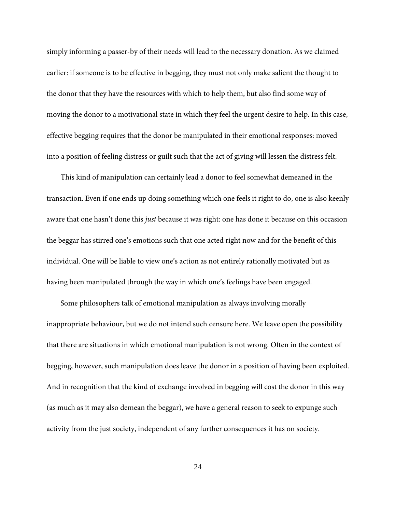simply informing a passer-by of their needs will lead to the necessary donation. As we claimed earlier: if someone is to be effective in begging, they must not only make salient the thought to the donor that they have the resources with which to help them, but also find some way of moving the donor to a motivational state in which they feel the urgent desire to help. In this case, effective begging requires that the donor be manipulated in their emotional responses: moved into a position of feeling distress or guilt such that the act of giving will lessen the distress felt.

This kind of manipulation can certainly lead a donor to feel somewhat demeaned in the transaction. Even if one ends up doing something which one feels it right to do, one is also keenly aware that one hasn't done this *just* because it was right: one has done it because on this occasion the beggar has stirred one's emotions such that one acted right now and for the benefit of this individual. One will be liable to view one's action as not entirely rationally motivated but as having been manipulated through the way in which one's feelings have been engaged.

Some philosophers talk of emotional manipulation as always involving morally inappropriate behaviour, but we do not intend such censure here. We leave open the possibility that there are situations in which emotional manipulation is not wrong. Often in the context of begging, however, such manipulation does leave the donor in a position of having been exploited. And in recognition that the kind of exchange involved in begging will cost the donor in this way (as much as it may also demean the beggar), we have a general reason to seek to expunge such activity from the just society, independent of any further consequences it has on society.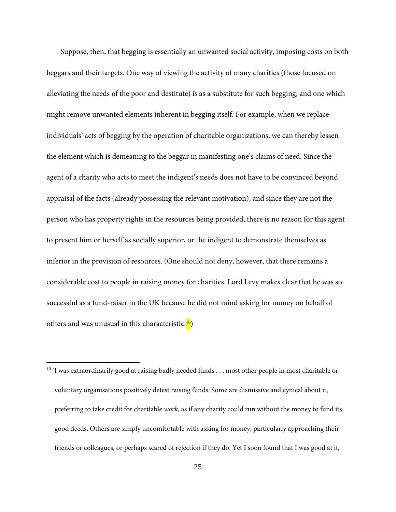Suppose, then, that begging is essentially an unwanted social activity, imposing costs on both beggars and their targets. One way of viewing the activity of many charities (those focused on alleviating the needs of the poor and destitute) is as a substitute for such begging, and one which might remove unwanted elements inherent in begging itself. For example, when we replace individuals' acts of begging by the operation of charitable organizations, we can thereby lessen the element which is demeaning to the beggar in manifesting one's claims of need. Since the agent of a charity who acts to meet the indigent's needs does not have to be convinced beyond appraisal of the facts (already possessing the relevant motivation), and since they are not the person who has property rights in the resources being provided, there is no reason for this agent to present him or herself as socially superior, or the indigent to demonstrate themselves as inferior in the provision of resources. (One should not deny, however, that there remains a considerable cost to people in raising money for charities. Lord Levy makes clear that he was so successful as a fund-raiser in the UK because he did not mind asking for money on behalf of others and was unusual in this characteristic. $\frac{10}{10}$ )

 $10$  'I was extraordinarily good at raising badly needed funds . . . most other people in most charitable or voluntary organisations positively detest raising funds. Some are dismissive and cynical about it, preferring to take credit for charitable *work*, as if any charity could run without the money to fund its good deeds. Others are simply uncomfortable with asking for money, particularly approaching their friends or colleagues, or perhaps scared of rejection if they do. Yet I soon found that I was good at it,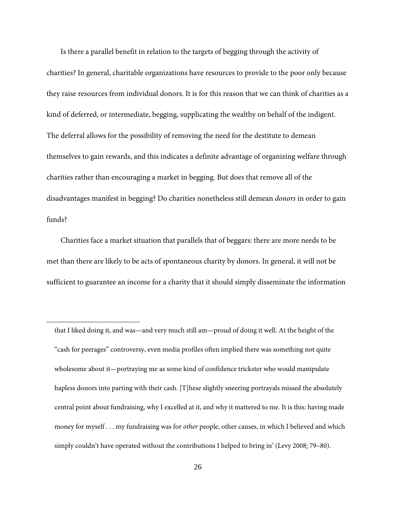Is there a parallel benefit in relation to the targets of begging through the activity of charities? In general, charitable organizations have resources to provide to the poor only because they raise resources from individual donors. It is for this reason that we can think of charities as a kind of deferred, or intermediate, begging, supplicating the wealthy on behalf of the indigent. The deferral allows for the possibility of removing the need for the destitute to demean themselves to gain rewards, and this indicates a definite advantage of organizing welfare through charities rather than encouraging a market in begging. But does that remove all of the disadvantages manifest in begging? Do charities nonetheless still demean *donors* in order to gain funds?

Charities face a market situation that parallels that of beggars: there are more needs to be met than there are likely to be acts of spontaneous charity by donors. In general, it will not be sufficient to guarantee an income for a charity that it should simply disseminate the information

 $\overline{a}$ 

that I liked doing it, and was—and very much still am—proud of doing it well. At the height of the "cash for peerages" controversy, even media profiles often implied there was something not quite wholesome about it—portraying me as some kind of confidence trickster who would manipulate hapless donors into parting with their cash. [T]hese slightly sneering portrayals missed the absolutely central point about fundraising, why I excelled at it, and why it mattered to me. It is this: having made money for myself . . . my fundraising was for *other* people, other causes, in which I believed and which simply couldn't have operated without the contributions I helped to bring in' (Levy [2008:](#page-39-8) 79–80).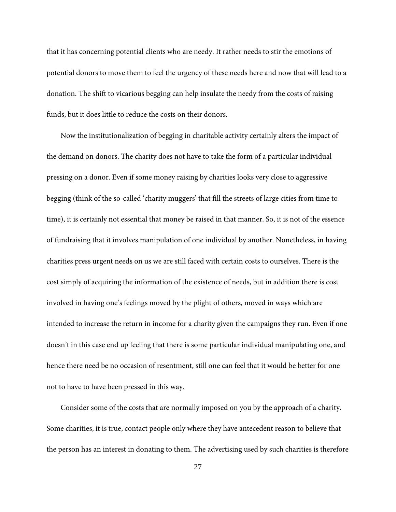that it has concerning potential clients who are needy. It rather needs to stir the emotions of potential donors to move them to feel the urgency of these needs here and now that will lead to a donation. The shift to vicarious begging can help insulate the needy from the costs of raising funds, but it does little to reduce the costs on their donors.

Now the institutionalization of begging in charitable activity certainly alters the impact of the demand on donors. The charity does not have to take the form of a particular individual pressing on a donor. Even if some money raising by charities looks very close to aggressive begging (think of the so-called 'charity muggers' that fill the streets of large cities from time to time), it is certainly not essential that money be raised in that manner. So, it is not of the essence of fundraising that it involves manipulation of one individual by another. Nonetheless, in having charities press urgent needs on us we are still faced with certain costs to ourselves. There is the cost simply of acquiring the information of the existence of needs, but in addition there is cost involved in having one's feelings moved by the plight of others, moved in ways which are intended to increase the return in income for a charity given the campaigns they run. Even if one doesn't in this case end up feeling that there is some particular individual manipulating one, and hence there need be no occasion of resentment, still one can feel that it would be better for one not to have to have been pressed in this way.

<span id="page-26-0"></span>Consider some of the costs that are normally imposed on you by the approach of a charity. Some charities, it is true, contact people only where they have antecedent reason to believe that the person has an interest in donating to them. The advertising used by such charities is therefore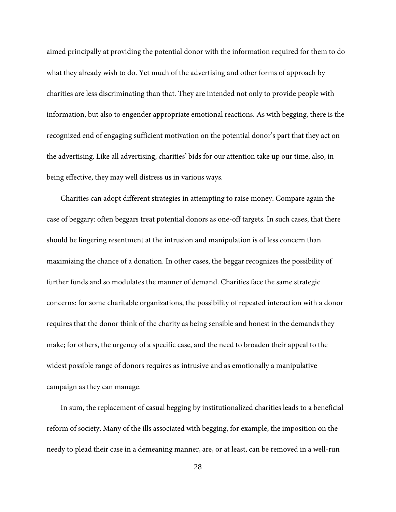aimed principally at providing the potential donor with the information required for them to do what they already wish to do. Yet much of the advertising and other forms of approach by charities are less discriminating than that. They are intended not only to provide people with information, but also to engender appropriate emotional reactions. As with begging, there is the recognized end of engaging sufficient motivation on the potential donor's part that they act on the advertising. Like all advertising, charities' bids for our attention take up our time; also, in being effective, they may well distress us in various ways.

Charities can adopt different strategies in attempting to raise money. Compare again the case of beggary: often beggars treat potential donors as one-off targets. In such cases, that there should be lingering resentment at the intrusion and manipulation is of less concern than maximizing the chance of a donation. In other cases, the beggar recognizes the possibility of further funds and so modulates the manner of demand. Charities face the same strategic concerns: for some charitable organizations, the possibility of repeated interaction with a donor requires that the donor think of the charity as being sensible and honest in the demands they make; for others, the urgency of a specific case, and the need to broaden their appeal to the widest possible range of donors requires as intrusive and as emotionally a manipulative campaign as they can manage.

In sum, the replacement of casual begging by institutionalized charities leads to a beneficial reform of society. Many of the ills associated with begging, for example, the imposition on the needy to plead their case in a demeaning manner, are, or at least, can be removed in a well-run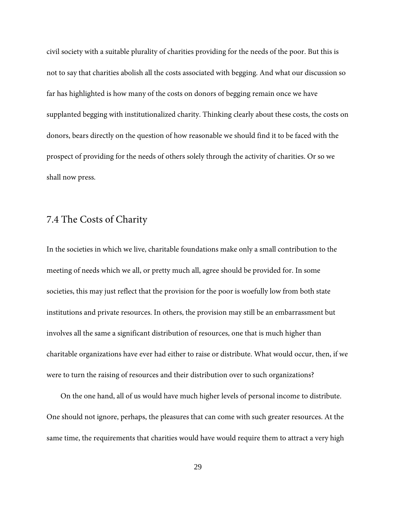civil society with a suitable plurality of charities providing for the needs of the poor. But this is not to say that charities abolish all the costs associated with begging. And what our discussion so far has highlighted is how many of the costs on donors of begging remain once we have supplanted begging with institutionalized charity. Thinking clearly about these costs, the costs on donors, bears directly on the question of how reasonable we should find it to be faced with the prospect of providing for the needs of others solely through the activity of charities. Or so we shall now press.

## 7.4 The Costs of Charity

<span id="page-28-0"></span>In the societies in which we live, charitable foundations make only a small contribution to the meeting of needs which we all, or pretty much all, agree should be provided for. In some societies, this may just reflect that the provision for the poor is woefully low from both state institutions and private resources. In others, the provision may still be an embarrassment but involves all the same a significant distribution of resources, one that is much higher than charitable organizations have ever had either to raise or distribute. What would occur, then, if we were to turn the raising of resources and their distribution over to such organizations?

On the one hand, all of us would have much higher levels of personal income to distribute. One should not ignore, perhaps, the pleasures that can come with such greater resources. At the same time, the requirements that charities would have would require them to attract a very high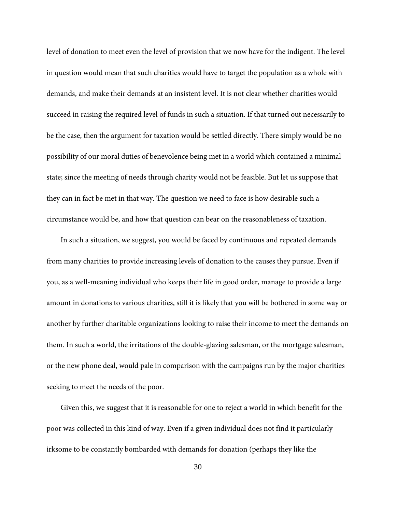level of donation to meet even the level of provision that we now have for the indigent. The level in question would mean that such charities would have to target the population as a whole with demands, and make their demands at an insistent level. It is not clear whether charities would succeed in raising the required level of funds in such a situation. If that turned out necessarily to be the case, then the argument for taxation would be settled directly. There simply would be no possibility of our moral duties of benevolence being met in a world which contained a minimal state; since the meeting of needs through charity would not be feasible. But let us suppose that they can in fact be met in that way. The question we need to face is how desirable such a circumstance would be, and how that question can bear on the reasonableness of taxation.

In such a situation, we suggest, you would be faced by continuous and repeated demands from many charities to provide increasing levels of donation to the causes they pursue. Even if you, as a well-meaning individual who keeps their life in good order, manage to provide a large amount in donations to various charities, still it is likely that you will be bothered in some way or another by further charitable organizations looking to raise their income to meet the demands on them. In such a world, the irritations of the double-glazing salesman, or the mortgage salesman, or the new phone deal, would pale in comparison with the campaigns run by the major charities seeking to meet the needs of the poor.

Given this, we suggest that it is reasonable for one to reject a world in which benefit for the poor was collected in this kind of way. Even if a given individual does not find it particularly irksome to be constantly bombarded with demands for donation (perhaps they like the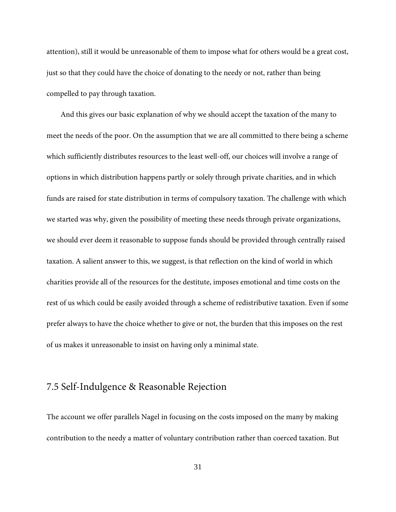attention), still it would be unreasonable of them to impose what for others would be a great cost, just so that they could have the choice of donating to the needy or not, rather than being compelled to pay through taxation.

And this gives our basic explanation of why we should accept the taxation of the many to meet the needs of the poor. On the assumption that we are all committed to there being a scheme which sufficiently distributes resources to the least well-off, our choices will involve a range of options in which distribution happens partly or solely through private charities, and in which funds are raised for state distribution in terms of compulsory taxation. The challenge with which we started was why, given the possibility of meeting these needs through private organizations, we should ever deem it reasonable to suppose funds should be provided through centrally raised taxation. A salient answer to this, we suggest, is that reflection on the kind of world in which charities provide all of the resources for the destitute, imposes emotional and time costs on the rest of us which could be easily avoided through a scheme of redistributive taxation. Even if some prefer always to have the choice whether to give or not, the burden that this imposes on the rest of us makes it unreasonable to insist on having only a minimal state.

### 7.5 Self-Indulgence & Reasonable Rejection

The account we offer parallels Nagel in focusing on the costs imposed on the many by making contribution to the needy a matter of voluntary contribution rather than coerced taxation. But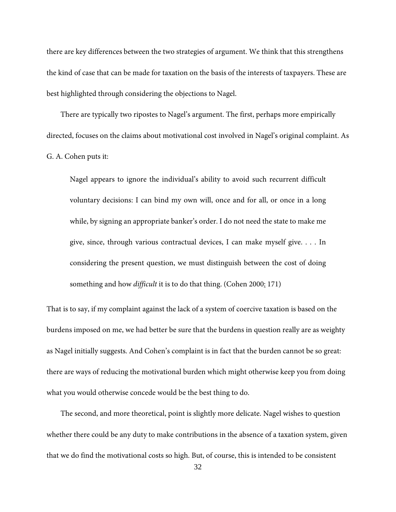there are key differences between the two strategies of argument. We think that this strengthens the kind of case that can be made for taxation on the basis of the interests of taxpayers. These are best highlighted through considering the objections to Nagel.

There are typically two ripostes to Nagel's argument. The first, perhaps more empirically directed, focuses on the claims about motivational cost involved in Nagel's original complaint. As G. A. Cohen puts it:

Nagel appears to ignore the individual's ability to avoid such recurrent difficult voluntary decisions: I can bind my own will, once and for all, or once in a long while, by signing an appropriate banker's order. I do not need the state to make me give, since, through various contractual devices, I can make myself give. . . . In considering the present question, we must distinguish between the cost of doing something and how *difficult* it is to do that thing. (Cohen [2000:](#page-38-0) 171)

That is to say, if my complaint against the lack of a system of coercive taxation is based on the burdens imposed on me, we had better be sure that the burdens in question really are as weighty as Nagel initially suggests. And Cohen's complaint is in fact that the burden cannot be so great: there are ways of reducing the motivational burden which might otherwise keep you from doing what you would otherwise concede would be the best thing to do.

The second, and more theoretical, point is slightly more delicate. Nagel wishes to question whether there could be any duty to make contributions in the absence of a taxation system, given that we do find the motivational costs so high. But, of course, this is intended to be consistent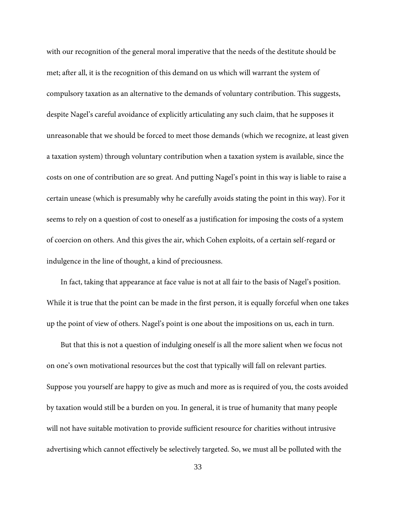with our recognition of the general moral imperative that the needs of the destitute should be met; after all, it is the recognition of this demand on us which will warrant the system of compulsory taxation as an alternative to the demands of voluntary contribution. This suggests, despite Nagel's careful avoidance of explicitly articulating any such claim, that he supposes it unreasonable that we should be forced to meet those demands (which we recognize, at least given a taxation system) through voluntary contribution when a taxation system is available, since the costs on one of contribution are so great. And putting Nagel's point in this way is liable to raise a certain unease (which is presumably why he carefully avoids stating the point in this way). For it seems to rely on a question of cost to oneself as a justification for imposing the costs of a system of coercion on others. And this gives the air, which Cohen exploits, of a certain self-regard or indulgence in the line of thought, a kind of preciousness.

In fact, taking that appearance at face value is not at all fair to the basis of Nagel's position. While it is true that the point can be made in the first person, it is equally forceful when one takes up the point of view of others. Nagel's point is one about the impositions on us, each in turn.

But that this is not a question of indulging oneself is all the more salient when we focus not on one's own motivational resources but the cost that typically will fall on relevant parties. Suppose you yourself are happy to give as much and more as is required of you, the costs avoided by taxation would still be a burden on you. In general, it is true of humanity that many people will not have suitable motivation to provide sufficient resource for charities without intrusive advertising which cannot effectively be selectively targeted. So, we must all be polluted with the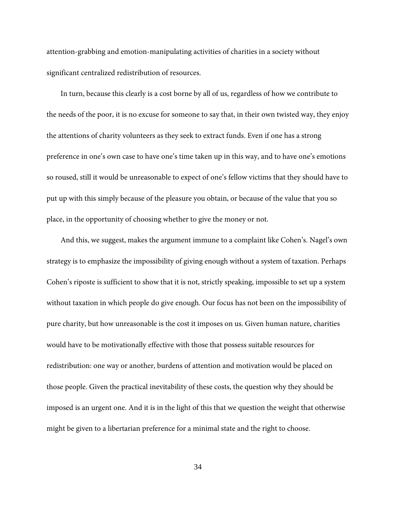attention-grabbing and emotion-manipulating activities of charities in a society without significant centralized redistribution of resources.

In turn, because this clearly is a cost borne by all of us, regardless of how we contribute to the needs of the poor, it is no excuse for someone to say that, in their own twisted way, they enjoy the attentions of charity volunteers as they seek to extract funds. Even if one has a strong preference in one's own case to have one's time taken up in this way, and to have one's emotions so roused, still it would be unreasonable to expect of one's fellow victims that they should have to put up with this simply because of the pleasure you obtain, or because of the value that you so place, in the opportunity of choosing whether to give the money or not.

And this, we suggest, makes the argument immune to a complaint like Cohen's. Nagel's own strategy is to emphasize the impossibility of giving enough without a system of taxation. Perhaps Cohen's riposte is sufficient to show that it is not, strictly speaking, impossible to set up a system without taxation in which people do give enough. Our focus has not been on the impossibility of pure charity, but how unreasonable is the cost it imposes on us. Given human nature, charities would have to be motivationally effective with those that possess suitable resources for redistribution: one way or another, burdens of attention and motivation would be placed on those people. Given the practical inevitability of these costs, the question why they should be imposed is an urgent one. And it is in the light of this that we question the weight that otherwise might be given to a libertarian preference for a minimal state and the right to choose.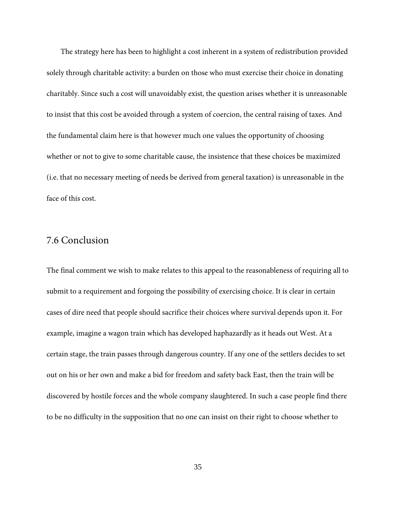The strategy here has been to highlight a cost inherent in a system of redistribution provided solely through charitable activity: a burden on those who must exercise their choice in donating charitably. Since such a cost will unavoidably exist, the question arises whether it is unreasonable to insist that this cost be avoided through a system of coercion, the central raising of taxes. And the fundamental claim here is that however much one values the opportunity of choosing whether or not to give to some charitable cause, the insistence that these choices be maximized (i.e. that no necessary meeting of needs be derived from general taxation) is unreasonable in the face of this cost.

#### 7.6 Conclusion

The final comment we wish to make relates to this appeal to the reasonableness of requiring all to submit to a requirement and forgoing the possibility of exercising choice. It is clear in certain cases of dire need that people should sacrifice their choices where survival depends upon it. For example, imagine a wagon train which has developed haphazardly as it heads out West. At a certain stage, the train passes through dangerous country. If any one of the settlers decides to set out on his or her own and make a bid for freedom and safety back East, then the train will be discovered by hostile forces and the whole company slaughtered. In such a case people find there to be no difficulty in the supposition that no one can insist on their right to choose whether to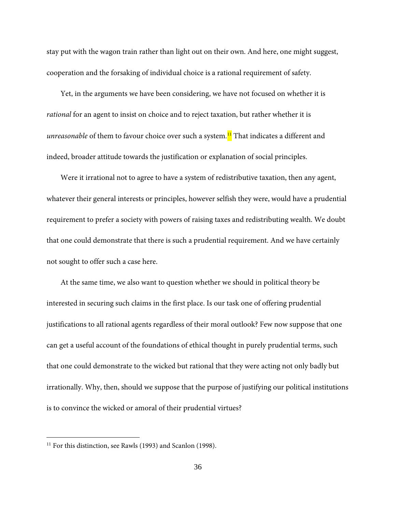stay put with the wagon train rather than light out on their own. And here, one might suggest, cooperation and the forsaking of individual choice is a rational requirement of safety.

Yet, in the arguments we have been considering, we have not focused on whether it is *rational* for an agent to insist on choice and to reject taxation, but rather whether it is *unreasonable* of them to favour choice over such a system.<sup>[11](#page-26-0)</sup> That indicates a different and indeed, broader attitude towards the justification or explanation of social principles.

Were it irrational not to agree to have a system of redistributive taxation, then any agent, whatever their general interests or principles, however selfish they were, would have a prudential requirement to prefer a society with powers of raising taxes and redistributing wealth. We doubt that one could demonstrate that there is such a prudential requirement. And we have certainly not sought to offer such a case here.

At the same time, we also want to question whether we should in political theory be interested in securing such claims in the first place. Is our task one of offering prudential justifications to all rational agents regardless of their moral outlook? Few now suppose that one can get a useful account of the foundations of ethical thought in purely prudential terms, such that one could demonstrate to the wicked but rational that they were acting not only badly but irrationally. Why, then, should we suppose that the purpose of justifying our political institutions is to convince the wicked or amoral of their prudential virtues?

 $11$  For this distinction, see Rawls [\(1993\)](#page-39-9) and Scanlon [\(1998\)](#page-39-10).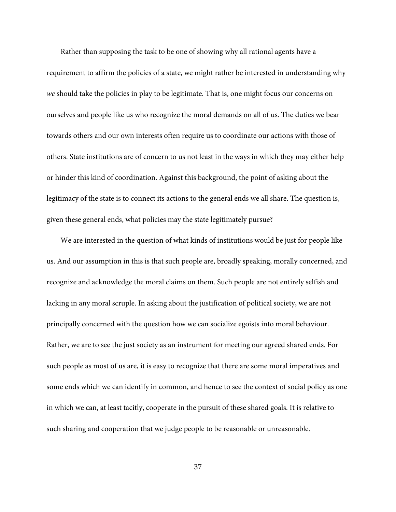Rather than supposing the task to be one of showing why all rational agents have a requirement to affirm the policies of a state, we might rather be interested in understanding why *we* should take the policies in play to be legitimate. That is, one might focus our concerns on ourselves and people like us who recognize the moral demands on all of us. The duties we bear towards others and our own interests often require us to coordinate our actions with those of others. State institutions are of concern to us not least in the ways in which they may either help or hinder this kind of coordination. Against this background, the point of asking about the legitimacy of the state is to connect its actions to the general ends we all share. The question is, given these general ends, what policies may the state legitimately pursue?

We are interested in the question of what kinds of institutions would be just for people like us. And our assumption in this is that such people are, broadly speaking, morally concerned, and recognize and acknowledge the moral claims on them. Such people are not entirely selfish and lacking in any moral scruple. In asking about the justification of political society, we are not principally concerned with the question how we can socialize egoists into moral behaviour. Rather, we are to see the just society as an instrument for meeting our agreed shared ends. For such people as most of us are, it is easy to recognize that there are some moral imperatives and some ends which we can identify in common, and hence to see the context of social policy as one in which we can, at least tacitly, cooperate in the pursuit of these shared goals. It is relative to such sharing and cooperation that we judge people to be reasonable or unreasonable.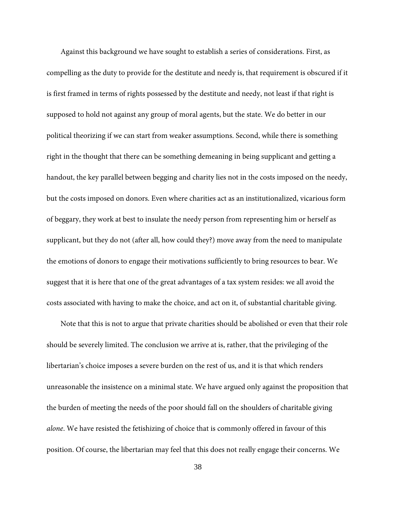Against this background we have sought to establish a series of considerations. First, as compelling as the duty to provide for the destitute and needy is, that requirement is obscured if it is first framed in terms of rights possessed by the destitute and needy, not least if that right is supposed to hold not against any group of moral agents, but the state. We do better in our political theorizing if we can start from weaker assumptions. Second, while there is something right in the thought that there can be something demeaning in being supplicant and getting a handout, the key parallel between begging and charity lies not in the costs imposed on the needy, but the costs imposed on donors. Even where charities act as an institutionalized, vicarious form of beggary, they work at best to insulate the needy person from representing him or herself as supplicant, but they do not (after all, how could they?) move away from the need to manipulate the emotions of donors to engage their motivations sufficiently to bring resources to bear. We suggest that it is here that one of the great advantages of a tax system resides: we all avoid the costs associated with having to make the choice, and act on it, of substantial charitable giving.

Note that this is not to argue that private charities should be abolished or even that their role should be severely limited. The conclusion we arrive at is, rather, that the privileging of the libertarian's choice imposes a severe burden on the rest of us, and it is that which renders unreasonable the insistence on a minimal state. We have argued only against the proposition that the burden of meeting the needs of the poor should fall on the shoulders of charitable giving *alone*. We have resisted the fetishizing of choice that is commonly offered in favour of this position. Of course, the libertarian may feel that this does not really engage their concerns. We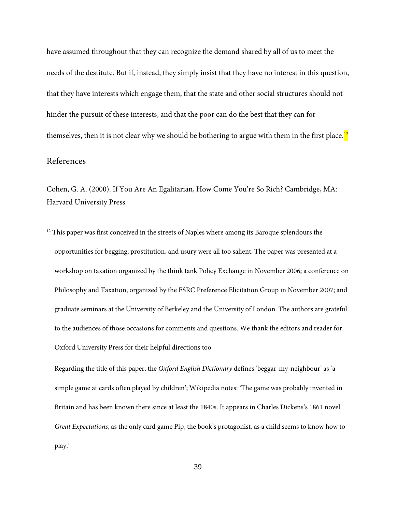have assumed throughout that they can recognize the demand shared by all of us to meet the needs of the destitute. But if, instead, they simply insist that they have no interest in this question, that they have interests which engage them, that the state and other social structures should not hinder the pursuit of these interests, and that the poor can do the best that they can for themselves, then it is not clear why we should be bothering to argue with them in the first place.<sup>[12](#page-28-0)</sup>

#### References

 $\overline{a}$ 

<span id="page-38-0"></span>Cohen, G. A. (2000). If You Are An Egalitarian, How Come You're So Rich? Cambridge, MA: Harvard University Press.

Regarding the title of this paper, the *Oxford English Dictionary* defines 'beggar-my-neighbour' as 'a simple game at cards often played by children'; Wikipedia notes: 'The game was probably invented in Britain and has been known there since at least the 1840s. It appears in Charles Dickens's 1861 novel *Great Expectations*, as the only card game Pip, the book's protagonist, as a child seems to know how to play.'

 $12$  This paper was first conceived in the streets of Naples where among its Baroque splendours the opportunities for begging, prostitution, and usury were all too salient. The paper was presented at a workshop on taxation organized by the think tank Policy Exchange in November 2006; a conference on Philosophy and Taxation, organized by the ESRC Preference Elicitation Group in November 2007; and graduate seminars at the University of Berkeley and the University of London. The authors are grateful to the audiences of those occasions for comments and questions. We thank the editors and reader for Oxford University Press for their helpful directions too.